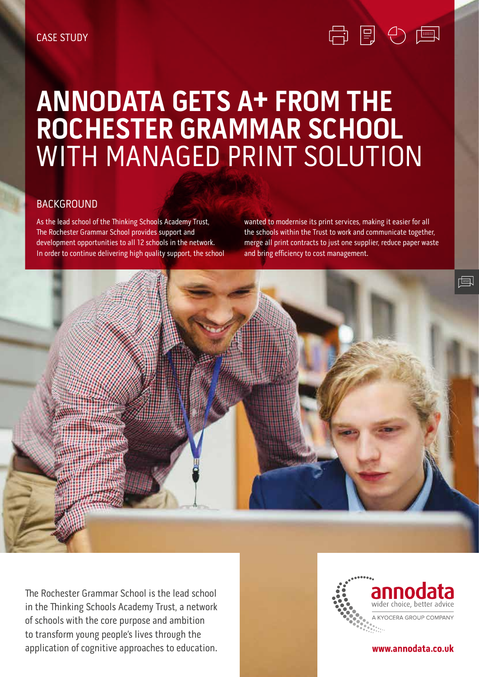# **ANNODATA GETS A+ FROM THE ROCHESTER GRAMMAR SCHOOL**  WITH MANAGED PRINT SOLUTION

### BACKGROUND

As the lead school of the Thinking Schools Academy Trust, The Rochester Grammar School provides support and development opportunities to all 12 schools in the network. In order to continue delivering high quality support, the school wanted to modernise its print services, making it easier for all the schools within the Trust to work and communicate together, merge all print contracts to just one supplier, reduce paper waste and bring efficiency to cost management.

白目の 国



The Rochester Grammar School is the lead school in the Thinking Schools Academy Trust, a network of schools with the core purpose and ambition to transform young people's lives through the application of cognitive approaches to education.



#### www.annodata.co.uk